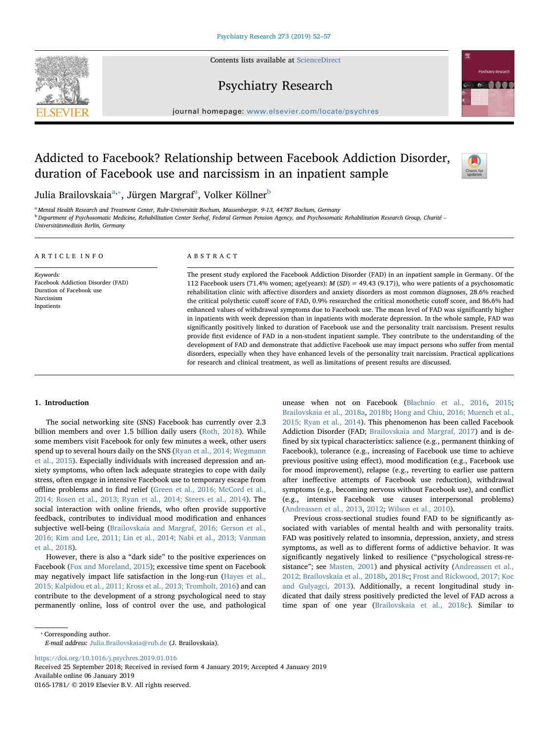Contents lists available at [ScienceDirect](http://www.sciencedirect.com/science/journal/01651781)



# Psychiatry Research



journal homepage: [www.elsevier.com/locate/psychres](https://www.elsevier.com/locate/psychres)

# Addicted to Facebook? Relationship between Facebook Addiction Disorder, duration of Facebook use and narcissism in an inpatient sample



Juli[a](#page-0-0) Brailovskaia<sup>a,</sup>\*, Jürgen Margraf<sup>a</sup>, Volker Köllner<sup>[b](#page-0-2)</sup>

<span id="page-0-2"></span><span id="page-0-0"></span><sup>a</sup> Mental Health Research and Treatment Center, Ruhr-Universität Bochum, Massenbergstr. 9-13, 44787 Bochum, Germany **b** Department of Psychosomatic Medicine, Rehabilitation Center Seehof, Federal German Pension Agency, and Psychosomatic Rehabilitation Research Group, Charité –

Universitätsmedizin Berlin, Germany

| ARTICLE INFO                                                                                           | ABSTRACT                                                                                                                                                                                                                                                                                                                                                                                                                                                                                                                                                                                                                                                                                                                                                                                                                                                                                                                                                                                                                                                                                                                                                        |  |  |
|--------------------------------------------------------------------------------------------------------|-----------------------------------------------------------------------------------------------------------------------------------------------------------------------------------------------------------------------------------------------------------------------------------------------------------------------------------------------------------------------------------------------------------------------------------------------------------------------------------------------------------------------------------------------------------------------------------------------------------------------------------------------------------------------------------------------------------------------------------------------------------------------------------------------------------------------------------------------------------------------------------------------------------------------------------------------------------------------------------------------------------------------------------------------------------------------------------------------------------------------------------------------------------------|--|--|
| Keywords:<br>Facebook Addiction Disorder (FAD)<br>Duration of Facebook use<br>Narcissism<br>Inpatients | The present study explored the Facebook Addiction Disorder (FAD) in an inpatient sample in Germany. Of the<br>112 Facebook users (71.4% women; age(years): $M(SD) = 49.43$ (9.17)), who were patients of a psychosomatic<br>rehabilitation clinic with affective disorders and anxiety disorders as most common diagnoses, 28.6% reached<br>the critical polythetic cutoff score of FAD, 0.9% researched the critical monothetic cutoff score, and 86.6% had<br>enhanced values of withdrawal symptoms due to Facebook use. The mean level of FAD was significantly higher<br>in inpatients with week depression than in inpatients with moderate depression. In the whole sample, FAD was<br>significantly positively linked to duration of Facebook use and the personality trait narcissism. Present results<br>provide first evidence of FAD in a non-student inpatient sample. They contribute to the understanding of the<br>development of FAD and demonstrate that addictive Facebook use may impact persons who suffer from mental<br>disorders, especially when they have enhanced levels of the personality trait narcissism. Practical applications |  |  |

for research and clinical treatment, as well as limitations of present results are discussed.

# 1. Introduction

The social networking site (SNS) Facebook has currently over 2.3 billion members and over 1.5 billion daily users [\(Roth, 2018\)](#page-5-0). While some members visit Facebook for only few minutes a week, other users spend up to several hours daily on the SNS [\(Ryan et al., 2014; Wegmann](#page-5-1) [et al., 2015\)](#page-5-1). Especially individuals with increased depression and anxiety symptoms, who often lack adequate strategies to cope with daily stress, often engage in intensive Facebook use to temporary escape from offline problems and to find relief ([Green et al., 2016; McCord et al.,](#page-5-2) [2014; Rosen et al., 2013; Ryan et al., 2014; Steers et al., 2014\)](#page-5-2). The social interaction with online friends, who often provide supportive feedback, contributes to individual mood modification and enhances subjective well-being ([Brailovskaia and Margraf, 2016; Gerson et al.,](#page-4-0) [2016; Kim and Lee, 2011; Lin et al., 2014; Nabi et al., 2013; Vanman](#page-4-0) [et al., 2018](#page-4-0)).

However, there is also a "dark side" to the positive experiences on Facebook [\(Fox and Moreland, 2015\)](#page-5-3); excessive time spent on Facebook may negatively impact life satisfaction in the long-run [\(Hayes et al.,](#page-5-4) [2015; Kalpidou et al., 2011; Kross et al., 2013; Tromholt, 2016](#page-5-4)) and can contribute to the development of a strong psychological need to stay permanently online, loss of control over the use, and pathological unease when not on Facebook (Bł[achnio et al., 2016](#page-4-1), [2015](#page-4-2); [Brailovskaia et al., 2018a](#page-4-3), [2018b;](#page-4-4) [Hong and Chiu, 2016; Muench et al.,](#page-5-5) [2015; Ryan et al., 2014\)](#page-5-5). This phenomenon has been called Facebook Addiction Disorder (FAD; [Brailovskaia and Margraf, 2017](#page-4-5)) and is defined by six typical characteristics: salience (e.g., permanent thinking of Facebook), tolerance (e.g., increasing of Facebook use time to achieve previous positive using effect), mood modification (e.g., Facebook use for mood improvement), relapse (e.g., reverting to earlier use pattern after ineffective attempts of Facebook use reduction), withdrawal symptoms (e.g., becoming nervous without Facebook use), and conflict (e.g., intensive Facebook use causes interpersonal problems) ([Andreassen et al., 2013](#page-4-6), [2012](#page-4-7); [Wilson et al., 2010\)](#page-5-6).

Previous cross-sectional studies found FAD to be significantly associated with variables of mental health and with personality traits. FAD was positively related to insomnia, depression, anxiety, and stress symptoms, as well as to different forms of addictive behavior. It was significantly negatively linked to resilience ("psychological stress-resistance"; see [Masten, 2001](#page-5-7)) and physical activity ([Andreassen et al.,](#page-4-7) [2012; Brailovskaia et al., 2018b](#page-4-7), [2018c](#page-4-8); Frost [and Rickwood, 2017; Koc](#page-5-8) [and Gulyagci, 2013](#page-5-8)). Additionally, a recent longitudinal study indicated that daily stress positively predicted the level of FAD across a time span of one year [\(Brailovskaia et al., 2018c\)](#page-4-8). Similar to

<span id="page-0-1"></span>⁎ Corresponding author.

E-mail address: [Julia.Brailovskaia@rub.de](mailto:Julia.Brailovskaia@rub.de) (J. Brailovskaia).

<https://doi.org/10.1016/j.psychres.2019.01.016>

Received 25 September 2018; Received in revised form 4 January 2019; Accepted 4 January 2019 Available online 06 January 2019

0165-1781/ © 2019 Elsevier B.V. All rights reserved.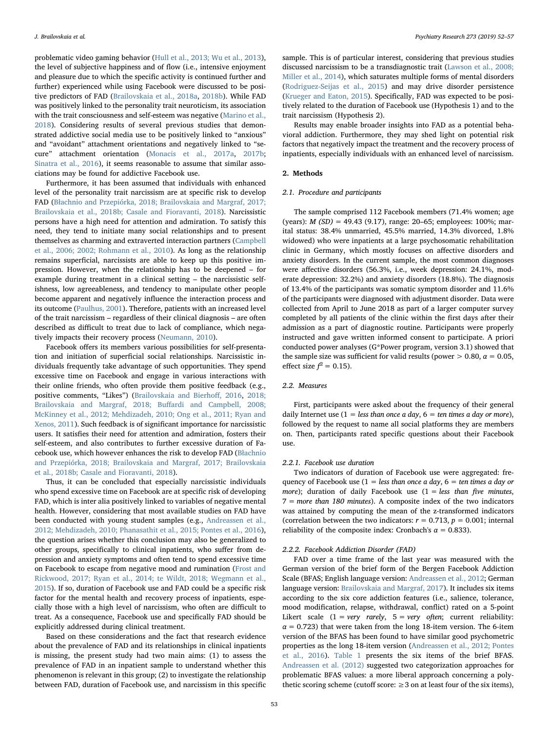problematic video gaming behavior [\(Hull et al., 2013; Wu et al., 2013](#page-5-9)), the level of subjective happiness and of flow (i.e., intensive enjoyment and pleasure due to which the specific activity is continued further and further) experienced while using Facebook were discussed to be positive predictors of FAD ([Brailovskaia et al., 2018a](#page-4-3), [2018b\)](#page-4-4). While FAD was positively linked to the personality trait neuroticism, its association with the trait consciousness and self-esteem was negative ([Marino et al.,](#page-5-10) [2018\)](#page-5-10). Considering results of several previous studies that demonstrated addictive social media use to be positively linked to "anxious" and "avoidant" attachment orientations and negatively linked to "secure" attachment orientation ([Monacis et al., 2017a,](#page-5-11) [2017b](#page-5-12); [Sinatra et al., 2016](#page-5-13)), it seems reasonable to assume that similar associations may be found for addictive Facebook use.

Furthermore, it has been assumed that individuals with enhanced level of the personality trait narcissism are at specific risk to develop FAD (Bł[achnio and Przepiórka, 2018; Brailovskaia and Margraf, 2017;](#page-4-9) [Brailovskaia et al., 2018b; Casale and Fioravanti, 2018](#page-4-9)). Narcissistic persons have a high need for attention and admiration. To satisfy this need, they tend to initiate many social relationships and to present themselves as charming and extraverted interaction partners [\(Campbell](#page-5-14) [et al., 2006; 2002; Rohmann et al., 2010\)](#page-5-14). As long as the relationship remains superficial, narcissists are able to keep up this positive impression. However, when the relationship has to be deepened – for example during treatment in a clinical setting – the narcissistic selfishness, low agreeableness, and tendency to manipulate other people become apparent and negatively influence the interaction process and its outcome [\(Paulhus, 2001](#page-5-15)). Therefore, patients with an increased level of the trait narcissism – regardless of their clinical diagnosis – are often described as difficult to treat due to lack of compliance, which negatively impacts their recovery process [\(Neumann, 2010](#page-5-16)).

Facebook offers its members various possibilities for self-presentation and initiation of superficial social relationships. Narcissistic individuals frequently take advantage of such opportunities. They spend excessive time on Facebook and engage in various interactions with their online friends, who often provide them positive feedback (e.g., positive comments, "Likes") [\(Brailovskaia and Bierho](#page-4-10)ff, 2016, [2018;](#page-4-11) Brailovskaia and Margraf, 2018; Buff[ardi and Campbell, 2008;](#page-4-11) [McKinney et al., 2012; Mehdizadeh, 2010; Ong et al., 2011; Ryan and](#page-4-11) [Xenos, 2011\)](#page-4-11). Such feedback is of significant importance for narcissistic users. It satisfies their need for attention and admiration, fosters their self-esteem, and also contributes to further excessive duration of Facebook use, which however enhances the risk to develop FAD (Bł[achnio](#page-4-9) [and Przepiórka, 2018; Brailovskaia and Margraf, 2017; Brailovskaia](#page-4-9) [et al., 2018b; Casale and Fioravanti, 2018\)](#page-4-9).

Thus, it can be concluded that especially narcissistic individuals who spend excessive time on Facebook are at specific risk of developing FAD, which is inter alia positively linked to variables of negative mental health. However, considering that most available studies on FAD have been conducted with young student samples (e.g., [Andreassen et al.,](#page-4-7) [2012; Mehdizadeh, 2010; Phanasathit et al., 2015; Pontes et al., 2016](#page-4-7)), the question arises whether this conclusion may also be generalized to other groups, specifically to clinical inpatients, who suffer from depression and anxiety symptoms and often tend to spend excessive time on Facebook to escape from negative mood and rumination [\(Frost and](#page-5-8) [Rickwood, 2017; Ryan et al., 2014; te Wildt, 2018; Wegmann et al.,](#page-5-8) [2015\)](#page-5-8). If so, duration of Facebook use and FAD could be a specific risk factor for the mental health and recovery process of inpatients, especially those with a high level of narcissism, who often are difficult to treat. As a consequence, Facebook use and specifically FAD should be explicitly addressed during clinical treatment.

Based on these considerations and the fact that research evidence about the prevalence of FAD and its relationships in clinical inpatients is missing, the present study had two main aims: (1) to assess the prevalence of FAD in an inpatient sample to understand whether this phenomenon is relevant in this group; (2) to investigate the relationship between FAD, duration of Facebook use, and narcissism in this specific

sample. This is of particular interest, considering that previous studies discussed narcissism to be a transdiagnostic trait ([Lawson et al., 2008;](#page-5-17) [Miller et al., 2014](#page-5-17)), which saturates multiple forms of mental disorders ([Rodriguez-Seijas et al., 2015](#page-5-18)) and may drive disorder persistence ([Krueger and Eaton, 2015\)](#page-5-19). Specifically, FAD was expected to be positively related to the duration of Facebook use (Hypothesis 1) and to the trait narcissism (Hypothesis 2).

Results may enable broader insights into FAD as a potential behavioral addiction. Furthermore, they may shed light on potential risk factors that negatively impact the treatment and the recovery process of inpatients, especially individuals with an enhanced level of narcissism.

# 2. Methods

# 2.1. Procedure and participants

The sample comprised 112 Facebook members (71.4% women; age (years): M (SD) = 49.43 (9.17), range: 20–65; employees: 100%; marital status: 38.4% unmarried, 45.5% married, 14.3% divorced, 1.8% widowed) who were inpatients at a large psychosomatic rehabilitation clinic in Germany, which mostly focuses on affective disorders and anxiety disorders. In the current sample, the most common diagnoses were affective disorders (56.3%, i.e., week depression: 24.1%, moderate depression: 32.2%) and anxiety disorders (18.8%). The diagnosis of 13.4% of the participants was somatic symptom disorder and 11.6% of the participants were diagnosed with adjustment disorder. Data were collected from April to June 2018 as part of a larger computer survey completed by all patients of the clinic within the first days after their admission as a part of diagnostic routine. Participants were properly instructed and gave written informed consent to participate. A priori conducted power analyses (G\*Power program, version 3.1) showed that the sample size was sufficient for valid results (power  $> 0.80$ ,  $\alpha = 0.05$ , effect size  $f^2 = 0.15$ ).

# 2.2. Measures

First, participants were asked about the frequency of their general daily Internet use  $(1 = less than once a day, 6 = ten times a day or more),$ followed by the request to name all social platforms they are members on. Then, participants rated specific questions about their Facebook use.

#### 2.2.1. Facebook use duration

Two indicators of duration of Facebook use were aggregated: frequency of Facebook use ( $1 =$  less than once a day,  $6 =$  ten times a day or more); duration of daily Facebook use  $(1 = less than five minutes,$  $7 = more than 180 minutes$ . A composite index of the two indicators was attained by computing the mean of the z-transformed indicators (correlation between the two indicators:  $r = 0.713$ ,  $p = 0.001$ ; internal reliability of the composite index: Cronbach's  $\alpha = 0.833$ ).

# 2.2.2. Facebook Addiction Disorder (FAD)

FAD over a time frame of the last year was measured with the German version of the brief form of the Bergen Facebook Addiction Scale (BFAS; English language version: [Andreassen et al., 2012;](#page-4-7) German language version: [Brailovskaia and Margraf, 2017](#page-4-5)). It includes six items according to the six core addiction features (i.e., salience, tolerance, mood modification, relapse, withdrawal, conflict) rated on a 5-point Likert scale  $(1 = very \ rarely, 5 = very \ often; current \ reliability:$  $\alpha$  = 0.723) that were taken from the long 18-item version. The 6-item version of the BFAS has been found to have similar good psychometric properties as the long 18-item version ([Andreassen et al., 2012; Pontes](#page-4-7) [et al., 2016](#page-4-7)). [Table 1](#page-2-0) presents the six items of the brief BFAS. [Andreassen et al. \(2012\)](#page-4-7) suggested two categorization approaches for problematic BFAS values: a more liberal approach concerning a polythetic scoring scheme (cutoff score:  $\geq$  3 on at least four of the six items),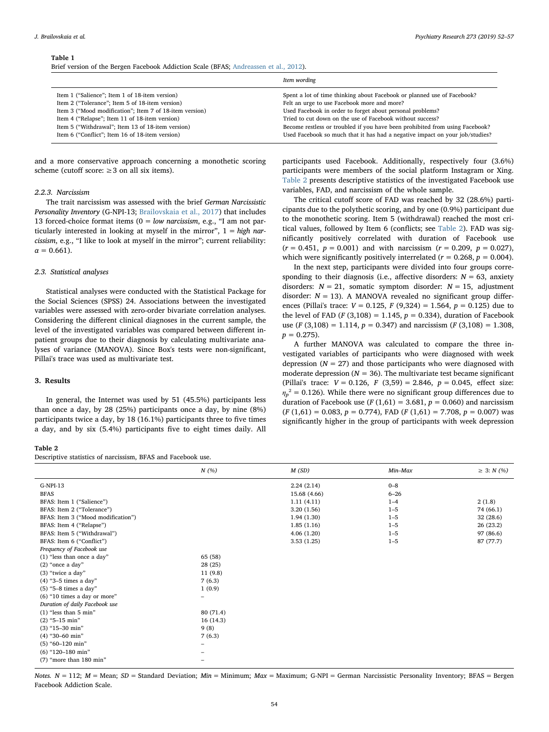#### <span id="page-2-0"></span>Table 1

Brief version of the Bergen Facebook Addiction Scale (BFAS; [Andreassen et al., 2012\)](#page-4-7).

|                                                                                                      | Item wording                                                                                                                                                 |
|------------------------------------------------------------------------------------------------------|--------------------------------------------------------------------------------------------------------------------------------------------------------------|
| Item 1 ("Salience"; Item 1 of 18-item version)                                                       | Spent a lot of time thinking about Facebook or planned use of Facebook?                                                                                      |
| Item 2 ("Tolerance"; Item 5 of 18-item version)                                                      | Felt an urge to use Facebook more and more?                                                                                                                  |
| Item 3 ("Mood modification"; Item 7 of 18-item version)                                              | Used Facebook in order to forget about personal problems?                                                                                                    |
| Item 4 ("Relapse"; Item 11 of 18-item version)                                                       | Tried to cut down on the use of Facebook without success?                                                                                                    |
| Item 5 ("Withdrawal"; Item 13 of 18-item version)<br>Item 6 ("Conflict"; Item 16 of 18-item version) | Become restless or troubled if you have been prohibited from using Facebook?<br>Used Facebook so much that it has had a negative impact on your job/studies? |

and a more conservative approach concerning a monothetic scoring scheme (cutoff score:  $\geq 3$  on all six items).

# 2.2.3. Narcissism

The trait narcissism was assessed with the brief German Narcissistic Personality Inventory (G-NPI-13; [Brailovskaia et al., 2017](#page-4-12)) that includes 13 forced-choice format items ( $0 = low$  narcissism, e.g., "I am not particularly interested in looking at myself in the mirror",  $1 = high$  narcissism, e.g., "I like to look at myself in the mirror"; current reliability:  $\alpha = 0.661$ ).

#### 2.3. Statistical analyses

Statistical analyses were conducted with the Statistical Package for the Social Sciences (SPSS) 24. Associations between the investigated variables were assessed with zero-order bivariate correlation analyses. Considering the different clinical diagnoses in the current sample, the level of the investigated variables was compared between different inpatient groups due to their diagnosis by calculating multivariate analyses of variance (MANOVA). Since Box's tests were non-significant, Pillai's trace was used as multivariate test.

# 3. Results

In general, the Internet was used by 51 (45.5%) participants less than once a day, by 28 (25%) participants once a day, by nine (8%) participants twice a day, by 18 (16.1%) participants three to five times a day, and by six (5.4%) participants five to eight times daily. All participants used Facebook. Additionally, respectively four (3.6%) participants were members of the social platform Instagram or Xing. [Table 2](#page-2-1) presents descriptive statistics of the investigated Facebook use variables, FAD, and narcissism of the whole sample.

The critical cutoff score of FAD was reached by 32 (28.6%) participants due to the polythetic scoring, and by one (0.9%) participant due to the monothetic scoring. Item 5 (withdrawal) reached the most critical values, followed by Item 6 (conflicts; see [Table 2\)](#page-2-1). FAD was significantly positively correlated with duration of Facebook use  $(r = 0.451, p = 0.001)$  and with narcissism  $(r = 0.209, p = 0.027)$ , which were significantly positively interrelated ( $r = 0.268$ ,  $p = 0.004$ ).

In the next step, participants were divided into four groups corresponding to their diagnosis (i.e., affective disorders:  $N = 63$ , anxiety disorders:  $N = 21$ , somatic symptom disorder:  $N = 15$ , adjustment disorder:  $N = 13$ ). A MANOVA revealed no significant group differences (Pillai's trace:  $V = 0.125$ ,  $F(9,324) = 1.564$ ,  $p = 0.125$ ) due to the level of FAD ( $F(3,108) = 1.145$ ,  $p = 0.334$ ), duration of Facebook use (F (3,108) = 1.114,  $p = 0.347$ ) and narcissism (F (3,108) = 1.308,  $p = 0.275$ .

A further MANOVA was calculated to compare the three investigated variables of participants who were diagnosed with week depression ( $N = 27$ ) and those participants who were diagnosed with moderate depression ( $N = 36$ ). The multivariate test became significant (Pillai's trace:  $V = 0.126$ ,  $F(3,59) = 2.846$ ,  $p = 0.045$ , effect size:  $\eta_p^2$  = 0.126). While there were no significant group differences due to duration of Facebook use ( $F(1,61) = 3.681$ ,  $p = 0.060$ ) and narcissism  $(F (1,61) = 0.083, p = 0.774)$ , FAD  $(F (1,61) = 7.708, p = 0.007)$  was significantly higher in the group of participants with week depression

# <span id="page-2-1"></span>Table 2 Descriptive statistics of narcissism, BFAS and Facebook use.

|                                    | N(%)      | M(SD)        | Min-Max  | $\geq 3$ : N (%) |
|------------------------------------|-----------|--------------|----------|------------------|
| $G-NPI-13$                         |           | 2.24(2.14)   | $0 - 8$  |                  |
| <b>BFAS</b>                        |           | 15.68 (4.66) | $6 - 26$ |                  |
| BFAS: Item 1 ("Salience")          |           | 1.11(4.11)   | $1 - 4$  | 2(1.8)           |
| BFAS: Item 2 ("Tolerance")         |           | 3.20(1.56)   | $1 - 5$  | 74 (66.1)        |
| BFAS: Item 3 ("Mood modification") |           | 1.94(1.30)   | $1 - 5$  | 32(28.6)         |
| BFAS: Item 4 ("Relapse")           |           | 1.85(1.16)   | $1 - 5$  | 26(23.2)         |
| BFAS: Item 5 ("Withdrawal")        |           | 4.06(1.20)   | $1 - 5$  | 97 (86.6)        |
| BFAS: Item 6 ("Conflict")          |           | 3.53(1.25)   | $1 - 5$  | 87 (77.7)        |
| Frequency of Facebook use          |           |              |          |                  |
| (1) "less than once a day"         | 65 (58)   |              |          |                  |
| $(2)$ "once a day"                 | 28 (25)   |              |          |                  |
| (3) "twice a day"                  | 11(9.8)   |              |          |                  |
| $(4)$ "3-5 times a day"            | 7(6.3)    |              |          |                  |
| $(5)$ "5-8 times a day"            | 1(0.9)    |              |          |                  |
| (6) "10 times a day or more"       | -         |              |          |                  |
| Duration of daily Facebook use     |           |              |          |                  |
| $(1)$ "less than 5 min"            | 80 (71.4) |              |          |                  |
| $(2)$ "5-15 min"                   | 16(14.3)  |              |          |                  |
| $(3)$ "15-30 min"                  | 9(8)      |              |          |                  |
| $(4)$ "30-60 min"                  | 7(6.3)    |              |          |                  |
| $(5)$ "60-120 min"                 | -         |              |          |                  |
| $(6)$ "120-180 min"                |           |              |          |                  |
| (7) "more than 180 min"            | -         |              |          |                  |

Notes.  $N = 112$ ;  $M =$  Mean;  $SD =$  Standard Deviation;  $Min =$  Minimum;  $Max =$  Maximum; G-NPI = German Narcissistic Personality Inventory; BFAS = Bergen Facebook Addiction Scale.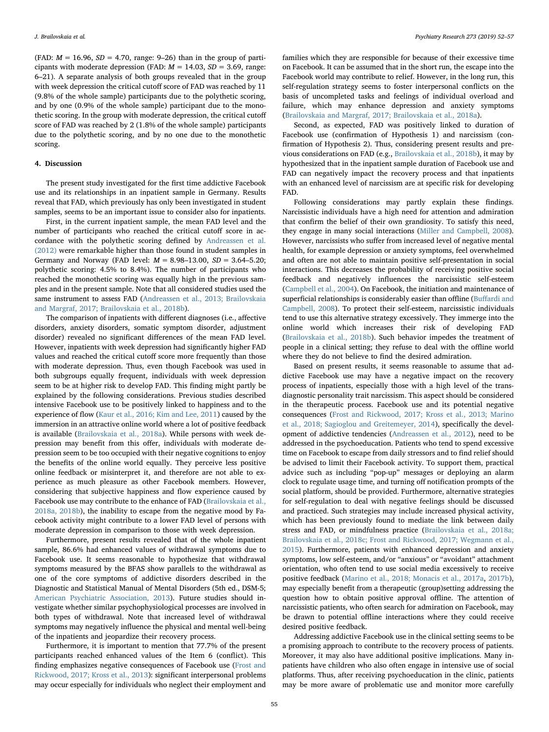(FAD:  $M = 16.96$ ,  $SD = 4.70$ , range: 9-26) than in the group of participants with moderate depression (FAD:  $M = 14.03$ ,  $SD = 3.69$ , range: 6–21). A separate analysis of both groups revealed that in the group with week depression the critical cutoff score of FAD was reached by 11 (9.8% of the whole sample) participants due to the polythetic scoring, and by one (0.9% of the whole sample) participant due to the monothetic scoring. In the group with moderate depression, the critical cutoff score of FAD was reached by 2 (1.8% of the whole sample) participants due to the polythetic scoring, and by no one due to the monothetic scoring.

### 4. Discussion

The present study investigated for the first time addictive Facebook use and its relationships in an inpatient sample in Germany. Results reveal that FAD, which previously has only been investigated in student samples, seems to be an important issue to consider also for inpatients.

First, in the current inpatient sample, the mean FAD level and the number of participants who reached the critical cutoff score in accordance with the polythetic scoring defined by [Andreassen et al.](#page-4-7) [\(2012\)](#page-4-7) were remarkable higher than those found in student samples in Germany and Norway (FAD level:  $M = 8.98 - 13.00$ ,  $SD = 3.64 - 5.20$ ; polythetic scoring: 4.5% to 8.4%). The number of participants who reached the monothetic scoring was equally high in the previous samples and in the present sample. Note that all considered studies used the same instrument to assess FAD [\(Andreassen et al., 2013; Brailovskaia](#page-4-6) [and Margraf, 2017; Brailovskaia et al., 2018b](#page-4-6)).

The comparison of inpatients with different diagnoses (i.e., affective disorders, anxiety disorders, somatic symptom disorder, adjustment disorder) revealed no significant differences of the mean FAD level. However, inpatients with week depression had significantly higher FAD values and reached the critical cutoff score more frequently than those with moderate depression. Thus, even though Facebook was used in both subgroups equally frequent, individuals with week depression seem to be at higher risk to develop FAD. This finding might partly be explained by the following considerations. Previous studies described intensive Facebook use to be positively linked to happiness and to the experience of flow [\(Kaur et al., 2016; Kim and Lee, 2011\)](#page-5-20) caused by the immersion in an attractive online world where a lot of positive feedback is available [\(Brailovskaia et al., 2018a\)](#page-4-3). While persons with week depression may benefit from this offer, individuals with moderate depression seem to be too occupied with their negative cognitions to enjoy the benefits of the online world equally. They perceive less positive online feedback or misinterpret it, and therefore are not able to experience as much pleasure as other Facebook members. However, considering that subjective happiness and flow experience caused by Facebook use may contribute to the enhance of FAD [\(Brailovskaia et al.,](#page-4-3) [2018a, 2018b](#page-4-3)), the inability to escape from the negative mood by Facebook activity might contribute to a lower FAD level of persons with moderate depression in comparison to those with week depression.

Furthermore, present results revealed that of the whole inpatient sample, 86.6% had enhanced values of withdrawal symptoms due to Facebook use. It seems reasonable to hypothesize that withdrawal symptoms measured by the BFAS show parallels to the withdrawal as one of the core symptoms of addictive disorders described in the Diagnostic and Statistical Manual of Mental Disorders (5th ed., DSM-5; [American Psychiatric Association, 2013](#page-4-13)). Future studies should investigate whether similar psychophysiological processes are involved in both types of withdrawal. Note that increased level of withdrawal symptoms may negatively influence the physical and mental well-being of the inpatients and jeopardize their recovery process.

Furthermore, it is important to mention that 77.7% of the present participants reached enhanced values of the Item 6 (conflict). This finding emphasizes negative consequences of Facebook use [\(Frost and](#page-5-8) [Rickwood, 2017; Kross et al., 2013\)](#page-5-8): significant interpersonal problems may occur especially for individuals who neglect their employment and

families which they are responsible for because of their excessive time on Facebook. It can be assumed that in the short run, the escape into the Facebook world may contribute to relief. However, in the long run, this self-regulation strategy seems to foster interpersonal conflicts on the basis of uncompleted tasks and feelings of individual overload and failure, which may enhance depression and anxiety symptoms ([Brailovskaia and Margraf, 2017; Brailovskaia et al., 2018a\)](#page-4-5).

Second, as expected, FAD was positively linked to duration of Facebook use (confirmation of Hypothesis 1) and narcissism (confirmation of Hypothesis 2). Thus, considering present results and previous considerations on FAD (e.g., [Brailovskaia et al., 2018b](#page-4-4)), it may by hypothesized that in the inpatient sample duration of Facebook use and FAD can negatively impact the recovery process and that inpatients with an enhanced level of narcissism are at specific risk for developing FAD.

Following considerations may partly explain these findings. Narcissistic individuals have a high need for attention and admiration that confirm the belief of their own grandiosity. To satisfy this need, they engage in many social interactions ([Miller and Campbell, 2008](#page-5-21)). However, narcissists who suffer from increased level of negative mental health, for example depression or anxiety symptoms, feel overwhelmed and often are not able to maintain positive self-presentation in social interactions. This decreases the probability of receiving positive social feedback and negatively influences the narcissistic self-esteem ([Campbell et al., 2004](#page-5-22)). On Facebook, the initiation and maintenance of superficial relationships is considerably easier than offline (Buff[ardi and](#page-4-14) [Campbell, 2008](#page-4-14)). To protect their self-esteem, narcissistic individuals tend to use this alternative strategy excessively. They immerge into the online world which increases their risk of developing FAD ([Brailovskaia et al., 2018b\)](#page-4-4). Such behavior impedes the treatment of people in a clinical setting; they refuse to deal with the offline world where they do not believe to find the desired admiration.

Based on present results, it seems reasonable to assume that addictive Facebook use may have a negative impact on the recovery process of inpatients, especially those with a high level of the transdiagnostic personality trait narcissism. This aspect should be considered in the therapeutic process. Facebook use and its potential negative consequences ([Frost and Rickwood, 2017; Kross et al., 2013; Marino](#page-5-8) [et al., 2018; Sagioglou and Greitemeyer, 2014](#page-5-8)), specifically the development of addictive tendencies ([Andreassen et al., 2012\)](#page-4-7), need to be addressed in the psychoeducation. Patients who tend to spend excessive time on Facebook to escape from daily stressors and to find relief should be advised to limit their Facebook activity. To support them, practical advice such as including "pop-up" messages or deploying an alarm clock to regulate usage time, and turning off notification prompts of the social platform, should be provided. Furthermore, alternative strategies for self-regulation to deal with negative feelings should be discussed and practiced. Such strategies may include increased physical activity, which has been previously found to mediate the link between daily stress and FAD, or mindfulness practice ([Brailovskaia et al., 2018a;](#page-4-3) [Brailovskaia et al., 2018c; Frost and Rickwood, 2017; Wegmann et al.,](#page-4-3) [2015\)](#page-4-3). Furthermore, patients with enhanced depression and anxiety symptoms, low self-esteem, and/or "anxious" or "avoidant" attachment orientation, who often tend to use social media excessively to receive positive feedback [\(Marino et al., 2018; Monacis et al., 2017a](#page-5-10), [2017b](#page-5-12)), may especially benefit from a therapeutic (group)setting addressing the question how to obtain positive approval offline. The attention of narcissistic patients, who often search for admiration on Facebook, may be drawn to potential offline interactions where they could receive desired positive feedback.

Addressing addictive Facebook use in the clinical setting seems to be a promising approach to contribute to the recovery process of patients. Moreover, it may also have additional positive implications. Many inpatients have children who also often engage in intensive use of social platforms. Thus, after receiving psychoeducation in the clinic, patients may be more aware of problematic use and monitor more carefully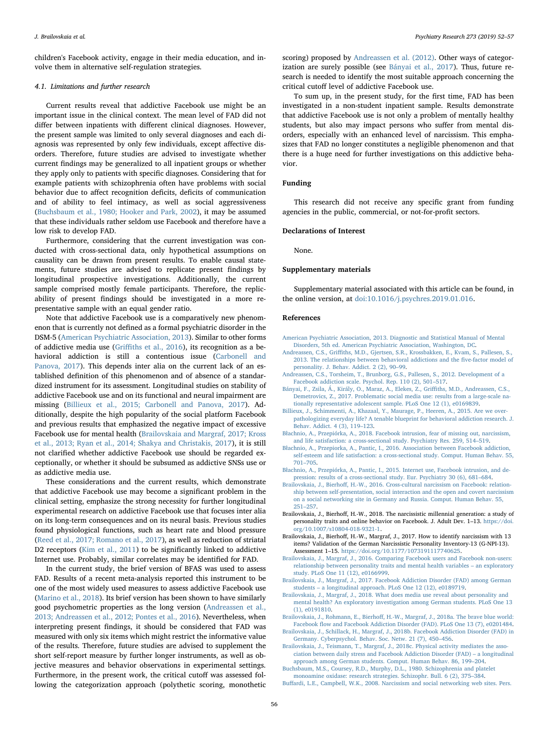children's Facebook activity, engage in their media education, and involve them in alternative self-regulation strategies.

# 4.1. Limitations and further research

Current results reveal that addictive Facebook use might be an important issue in the clinical context. The mean level of FAD did not differ between inpatients with different clinical diagnoses. However, the present sample was limited to only several diagnoses and each diagnosis was represented by only few individuals, except affective disorders. Therefore, future studies are advised to investigate whether current findings may be generalized to all inpatient groups or whether they apply only to patients with specific diagnoses. Considering that for example patients with schizophrenia often have problems with social behavior due to affect recognition deficits, deficits of communication and of ability to feel intimacy, as well as social aggressiveness ([Buchsbaum et al., 1980; Hooker and Park, 2002\)](#page-4-15), it may be assumed that these individuals rather seldom use Facebook and therefore have a low risk to develop FAD.

Furthermore, considering that the current investigation was conducted with cross-sectional data, only hypothetical assumptions on causality can be drawn from present results. To enable causal statements, future studies are advised to replicate present findings by longitudinal prospective investigations. Additionally, the current sample comprised mostly female participants. Therefore, the replicability of present findings should be investigated in a more representative sample with an equal gender ratio.

Note that addictive Facebook use is a comparatively new phenomenon that is currently not defined as a formal psychiatric disorder in the DSM-5 [\(American Psychiatric Association, 2013\)](#page-4-13). Similar to other forms of addictive media use (Griffi[ths et al., 2016](#page-5-23)), its recognition as a behavioral addiction is still a contentious issue [\(Carbonell and](#page-5-24) [Panova, 2017](#page-5-24)). This depends inter alia on the current lack of an established definition of this phenomenon and of absence of a standardized instrument for its assessment. Longitudinal studies on stability of addictive Facebook use and on its functional and neural impairment are missing [\(Billieux et al., 2015; Carbonell and Panova, 2017\)](#page-4-16). Additionally, despite the high popularity of the social platform Facebook and previous results that emphasized the negative impact of excessive Facebook use for mental health ([Brailovskaia and Margraf, 2017; Kross](#page-4-5) [et al., 2013; Ryan et al., 2014; Shakya and Christakis, 2017\)](#page-4-5), it is still not clarified whether addictive Facebook use should be regarded exceptionally, or whether it should be subsumed as addictive SNSs use or as addictive media use.

These considerations and the current results, which demonstrate that addictive Facebook use may become a significant problem in the clinical setting, emphasize the strong necessity for further longitudinal experimental research on addictive Facebook use that focuses inter alia on its long-term consequences and on its neural basis. Previous studies found physiological functions, such as heart rate and blood pressure ([Reed et al., 2017; Romano et al., 2017\)](#page-5-25), as well as reduction of striatal D2 receptors [\(Kim et al., 2011\)](#page-5-26) to be significantly linked to addictive Internet use. Probably, similar correlates may be identified for FAD.

In the current study, the brief version of BFAS was used to assess FAD. Results of a recent meta-analysis reported this instrument to be one of the most widely used measures to assess addictive Facebook use ([Marino et al., 2018\)](#page-5-10). Its brief version has been shown to have similarly good psychometric properties as the long version [\(Andreassen et al.,](#page-4-6) [2013; Andreassen et al., 2012; Pontes et al., 2016\)](#page-4-6). Nevertheless, when interpreting present findings, it should be considered that FAD was measured with only six items which might restrict the informative value of the results. Therefore, future studies are advised to supplement the short self-report measure by further longer instruments, as well as objective measures and behavior observations in experimental settings. Furthermore, in the present work, the critical cutoff was assessed following the categorization approach (polythetic scoring, monothetic

scoring) proposed by [Andreassen et al. \(2012\)](#page-4-7). Other ways of categorization are surely possible (see [Bányai et al., 2017\)](#page-4-17). Thus, future research is needed to identify the most suitable approach concerning the critical cutoff level of addictive Facebook use.

To sum up, in the present study, for the first time, FAD has been investigated in a non-student inpatient sample. Results demonstrate that addictive Facebook use is not only a problem of mentally healthy students, but also may impact persons who suffer from mental disorders, especially with an enhanced level of narcissism. This emphasizes that FAD no longer constitutes a negligible phenomenon and that there is a huge need for further investigations on this addictive behavior.

# Funding

This research did not receive any specific grant from funding agencies in the public, commercial, or not-for-profit sectors.

#### Declarations of Interest

None.

# Supplementary materials

Supplementary material associated with this article can be found, in the online version, at [doi:10.1016/j.psychres.2019.01.016.](https://doi.org/10.1016/j.psychres.2019.01.016)

#### References

- <span id="page-4-13"></span>[American Psychiatric Association, 2013. Diagnostic and Statistical Manual of Mental](http://refhub.elsevier.com/S0165-1781(18)31789-X/sbref0001) [Disorders, 5th ed. American Psychiatric Association, Washington, DC.](http://refhub.elsevier.com/S0165-1781(18)31789-X/sbref0001)
- <span id="page-4-6"></span>Andreassen, C.S., Griffi[ths, M.D., Gjertsen, S.R., Krossbakken, E., Kvam, S., Pallesen, S.,](http://refhub.elsevier.com/S0165-1781(18)31789-X/sbref0002) [2013. The relationships between behavioral addictions and the](http://refhub.elsevier.com/S0165-1781(18)31789-X/sbref0002) five-factor model of [personality. J. Behav. Addict. 2 \(2\), 90](http://refhub.elsevier.com/S0165-1781(18)31789-X/sbref0002)–99.
- <span id="page-4-7"></span>[Andreassen, C.S., Torsheim, T., Brunborg, G.S., Pallesen, S., 2012. Development of a](http://refhub.elsevier.com/S0165-1781(18)31789-X/sbref0003) [Facebook addiction scale. Psychol. Rep. 110 \(2\), 501](http://refhub.elsevier.com/S0165-1781(18)31789-X/sbref0003)–517.
- <span id="page-4-17"></span>[Bányai, F., Zsila, Á., Király, O., Maraz, A., Elekes, Z., Gri](http://refhub.elsevier.com/S0165-1781(18)31789-X/sbref0004)ffiths, M.D., Andreassen, C.S., [Demetrovics, Z., 2017. Problematic social media use: results from a large-scale na](http://refhub.elsevier.com/S0165-1781(18)31789-X/sbref0004)[tionally representative adolescent sample. PLoS One 12 \(1\), e0169839](http://refhub.elsevier.com/S0165-1781(18)31789-X/sbref0004).
- <span id="page-4-16"></span>[Billieux, J., Schimmenti, A., Khazaal, Y., Maurage, P., Heeren, A., 2015. Are we over](http://refhub.elsevier.com/S0165-1781(18)31789-X/sbref0005)[pathologizing everyday life? A tenable blueprint for behavioral addiction research. J.](http://refhub.elsevier.com/S0165-1781(18)31789-X/sbref0005) [Behav. Addict. 4 \(3\), 119](http://refhub.elsevier.com/S0165-1781(18)31789-X/sbref0005)–123.
- <span id="page-4-9"></span>Bł[achnio, A., Przepiórka, A., 2018. Facebook intrusion, fear of missing out, narcissism,](http://refhub.elsevier.com/S0165-1781(18)31789-X/sbref0006) [and life satisfaction: a cross-sectional study. Psychiatry Res. 259, 514](http://refhub.elsevier.com/S0165-1781(18)31789-X/sbref0006)–519.
- <span id="page-4-1"></span>Bł[achnio, A., Przepiorka, A., Pantic, I., 2016. Association between Facebook addiction,](http://refhub.elsevier.com/S0165-1781(18)31789-X/sbref0007) [self-esteem and life satisfaction: a cross-sectional study. Comput. Human Behav. 55,](http://refhub.elsevier.com/S0165-1781(18)31789-X/sbref0007) 701–[705](http://refhub.elsevier.com/S0165-1781(18)31789-X/sbref0007).
- <span id="page-4-2"></span>Bł[achnio, A., Przepiórka, A., Pantic, I., 2015. Internet use, Facebook intrusion, and de](http://refhub.elsevier.com/S0165-1781(18)31789-X/sbref0008)[pression: results of a cross-sectional study. Eur. Psychiatry 30 \(6\), 681](http://refhub.elsevier.com/S0165-1781(18)31789-X/sbref0008)–684.
- <span id="page-4-10"></span>Brailovskaia, J., Bierhoff[, H.-W., 2016. Cross-cultural narcissism on Facebook: relation](http://refhub.elsevier.com/S0165-1781(18)31789-X/sbref0009)[ship between self-presentation, social interaction and the open and covert narcissism](http://refhub.elsevier.com/S0165-1781(18)31789-X/sbref0009) [on a social networking site in Germany and Russia. Comput. Human Behav. 55,](http://refhub.elsevier.com/S0165-1781(18)31789-X/sbref0009) 251–[257](http://refhub.elsevier.com/S0165-1781(18)31789-X/sbref0009).
- <span id="page-4-11"></span>Brailovskaia, J., Bierhoff, H.-W., 2018. The narcissistic millennial generation: a study of personality traits and online behavior on Facebook. J. Adult Dev. 1–13. [https://doi.](https://doi.org/10.1007/s10804-018-9321-1) [org/10.1007/s10804-018-9321-1.](https://doi.org/10.1007/s10804-018-9321-1)
- <span id="page-4-12"></span>Brailovskaia, J., Bierhoff, H.-W., Margraf, J., 2017. How to identify narcissism with 13 items? Validation of the German Narcissistic Personality Inventory-13 (G-NPI-13). Assessment 1–15. [https://doi.org/10.1177/1073191117740625.](https://doi.org/10.1177/1073191117740625)
- <span id="page-4-0"></span>[Brailovskaia, J., Margraf, J., 2016. Comparing Facebook users and Facebook non-users:](http://refhub.elsevier.com/S0165-1781(18)31789-X/sbref0012) [relationship between personality traits and mental health variables](http://refhub.elsevier.com/S0165-1781(18)31789-X/sbref0012) – an exploratory [study. PLoS One 11 \(12\), e0166999.](http://refhub.elsevier.com/S0165-1781(18)31789-X/sbref0012)
- <span id="page-4-5"></span>[Brailovskaia, J., Margraf, J., 2017. Facebook Addiction Disorder \(FAD\) among German](http://refhub.elsevier.com/S0165-1781(18)31789-X/sbref0013) students – [a longitudinal approach. PLoS One 12 \(12\), e0189719](http://refhub.elsevier.com/S0165-1781(18)31789-X/sbref0013).
- [Brailovskaia, J., Margraf, J., 2018. What does media use reveal about personality and](http://refhub.elsevier.com/S0165-1781(18)31789-X/sbref0014) [mental health? An exploratory investigation among German students. PLoS One 13](http://refhub.elsevier.com/S0165-1781(18)31789-X/sbref0014) [\(1\), e0191810](http://refhub.elsevier.com/S0165-1781(18)31789-X/sbref0014).
- <span id="page-4-3"></span>Brailovskaia, J., Rohmann, E., Bierhoff[, H.-W., Margraf, J., 2018a. The brave blue world:](http://refhub.elsevier.com/S0165-1781(18)31789-X/sbref0015) Facebook fl[ow and Facebook Addiction Disorder \(FAD\). PLoS One 13 \(7\), e0201484.](http://refhub.elsevier.com/S0165-1781(18)31789-X/sbref0015)
- <span id="page-4-4"></span>[Brailovskaia, J., Schillack, H., Margraf, J., 2018b. Facebook Addiction Disorder \(FAD\) in](http://refhub.elsevier.com/S0165-1781(18)31789-X/sbref0016) Germany. [Cyberpsychol. Behav. Soc. Netw. 21 \(7\), 450](http://refhub.elsevier.com/S0165-1781(18)31789-X/sbref0016)–456.
- <span id="page-4-8"></span>[Brailovskaia, J., Teismann, T., Margraf, J., 2018c. Physical activity mediates the asso](http://refhub.elsevier.com/S0165-1781(18)31789-X/sbref0017)[ciation between daily stress and Facebook Addiction Disorder \(FAD\)](http://refhub.elsevier.com/S0165-1781(18)31789-X/sbref0017) – a longitudinal [approach among German students. Comput. Human Behav. 86, 199](http://refhub.elsevier.com/S0165-1781(18)31789-X/sbref0017)–204.

<span id="page-4-15"></span>[Buchsbaum, M.S., Coursey, R.D., Murphy, D.L., 1980. Schizophrenia and platelet](http://refhub.elsevier.com/S0165-1781(18)31789-X/sbref0018) [monoamine oxidase: research strategies. Schizophr. Bull. 6 \(2\), 375](http://refhub.elsevier.com/S0165-1781(18)31789-X/sbref0018)–384.

<span id="page-4-14"></span>Buff[ardi, L.E., Campbell, W.K., 2008. Narcissism and social networking web sites. Pers.](http://refhub.elsevier.com/S0165-1781(18)31789-X/sbref0019)